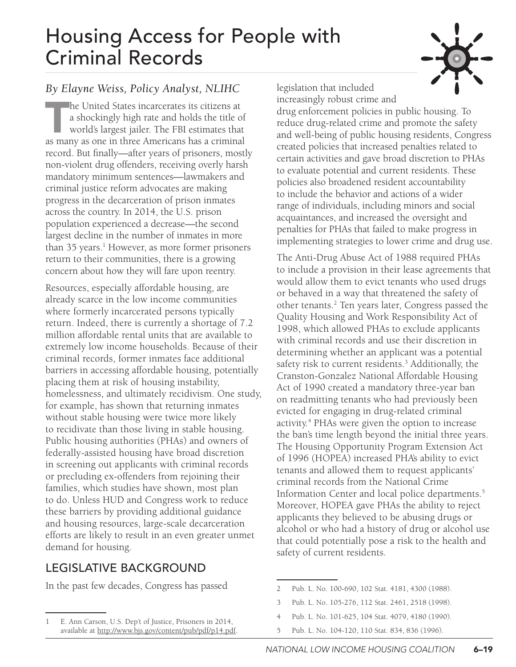# Housing Access for People with Criminal Records



#### *By Elayne Weiss, Policy Analyst, NLIHC*

The United States incarcerates its citizens at<br>a shockingly high rate and holds the title of<br>world's largest jailer. The FBI estimates that<br>as many as one in three Americans has a crimina a shockingly high rate and holds the title of world's largest jailer. The FBI estimates that as many as one in three Americans has a criminal record. But finally—after years of prisoners, mostly non-violent drug offenders, receiving overly harsh mandatory minimum sentences—lawmakers and criminal justice reform advocates are making progress in the decarceration of prison inmates across the country. In 2014, the U.S. prison population experienced a decrease—the second largest decline in the number of inmates in more than 35 years.<sup>1</sup> However, as more former prisoners return to their communities, there is a growing concern about how they will fare upon reentry.

Resources, especially affordable housing, are already scarce in the low income communities where formerly incarcerated persons typically return. Indeed, there is currently a shortage of 7.2 million affordable rental units that are available to extremely low income households. Because of their criminal records, former inmates face additional barriers in accessing affordable housing, potentially placing them at risk of housing instability, homelessness, and ultimately recidivism. One study, for example, has shown that returning inmates without stable housing were twice more likely to recidivate than those living in stable housing. Public housing authorities (PHAs) and owners of federally-assisted housing have broad discretion in screening out applicants with criminal records or precluding ex-offenders from rejoining their families, which studies have shown, most plan to do. Unless HUD and Congress work to reduce these barriers by providing additional guidance and housing resources, large-scale decarceration efforts are likely to result in an even greater unmet demand for housing.

## LEGISLATIVE BACKGROUND

In the past few decades, Congress has passed

legislation that included

increasingly robust crime and drug enforcement policies in public housing. To reduce drug-related crime and promote the safety and well-being of public housing residents, Congress created policies that increased penalties related to certain activities and gave broad discretion to PHAs to evaluate potential and current residents. These policies also broadened resident accountability to include the behavior and actions of a wider range of individuals, including minors and social acquaintances, and increased the oversight and penalties for PHAs that failed to make progress in implementing strategies to lower crime and drug use.

The Anti-Drug Abuse Act of 1988 required PHAs to include a provision in their lease agreements that would allow them to evict tenants who used drugs or behaved in a way that threatened the safety of other tenants.<sup>2</sup> Ten years later, Congress passed the Quality Housing and Work Responsibility Act of 1998, which allowed PHAs to exclude applicants with criminal records and use their discretion in determining whether an applicant was a potential safety risk to current residents.<sup>3</sup> Additionally, the Cranston-Gonzalez National Affordable Housing Act of 1990 created a mandatory three-year ban on readmitting tenants who had previously been evicted for engaging in drug-related criminal activity.<sup>4</sup> PHAs were given the option to increase the ban's time length beyond the initial three years. The Housing Opportunity Program Extension Act of 1996 (HOPEA) increased PHA's ability to evict tenants and allowed them to request applicants' criminal records from the National Crime Information Center and local police departments.5 Moreover, HOPEA gave PHAs the ability to reject applicants they believed to be abusing drugs or alcohol or who had a history of drug or alcohol use that could potentially pose a risk to the health and safety of current residents.

- 2 Pub. L. No. 100-690, 102 Stat. 4181, 4300 (1988).
- 3 Pub. L. No. 105-276, 112 Stat. 2461, 2518 (1998).
- 4 Pub. L. No. 101-625, 104 Stat. 4079, 4180 (1990).
- 5 Pub. L. No. 104-120, 110 Stat. 834, 836 (1996).

<sup>1</sup> E. Ann Carson, U.S. Dep't of Justice, Prisoners in 2014, available at [http://www.bjs.gov/content/pub/pdf/p14.pdf.](http://www.bjs.gov/content/pub/pdf/p14.pdf)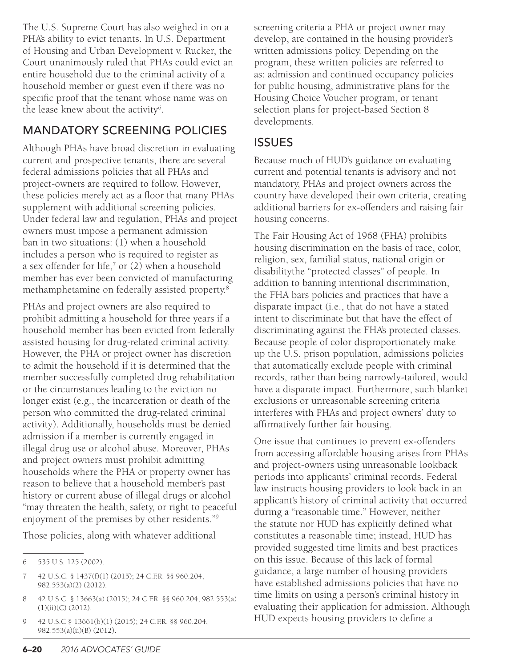The U.S. Supreme Court has also weighed in on a PHA's ability to evict tenants. In U.S. Department of Housing and Urban Development v. Rucker, the Court unanimously ruled that PHAs could evict an entire household due to the criminal activity of a household member or guest even if there was no specific proof that the tenant whose name was on the lease knew about the activity<sup>6</sup>.

## MANDATORY SCREENING POLICIES

Although PHAs have broad discretion in evaluating current and prospective tenants, there are several federal admissions policies that all PHAs and project-owners are required to follow. However, these policies merely act as a floor that many PHAs supplement with additional screening policies. Under federal law and regulation, PHAs and project owners must impose a permanent admission ban in two situations: (1) when a household includes a person who is required to register as a sex offender for life, $7$  or (2) when a household member has ever been convicted of manufacturing methamphetamine on federally assisted property.8

PHAs and project owners are also required to prohibit admitting a household for three years if a household member has been evicted from federally assisted housing for drug-related criminal activity. However, the PHA or project owner has discretion to admit the household if it is determined that the member successfully completed drug rehabilitation or the circumstances leading to the eviction no longer exist (e.g., the incarceration or death of the person who committed the drug-related criminal activity). Additionally, households must be denied admission if a member is currently engaged in illegal drug use or alcohol abuse. Moreover, PHAs and project owners must prohibit admitting households where the PHA or property owner has reason to believe that a household member's past history or current abuse of illegal drugs or alcohol "may threaten the health, safety, or right to peaceful enjoyment of the premises by other residents."9

Those policies, along with whatever additional

7 42 U.S.C. § 1437(f)(1) (2015); 24 C.F.R. §§ 960.204, 982.553(a)(2) (2012).

9 42 U.S.C § 13661(b)(1) (2015); 24 C.F.R. §§ 960.204, 982.553(a)(ii)(B) (2012).

screening criteria a PHA or project owner may develop, are contained in the housing provider's written admissions policy. Depending on the program, these written policies are referred to as: admission and continued occupancy policies for public housing, administrative plans for the Housing Choice Voucher program, or tenant selection plans for project-based Section 8 developments.

## **ISSUES**

Because much of HUD's guidance on evaluating current and potential tenants is advisory and not mandatory, PHAs and project owners across the country have developed their own criteria, creating additional barriers for ex-offenders and raising fair housing concerns.

The Fair Housing Act of 1968 (FHA) prohibits housing discrimination on the basis of race, color, religion, sex, familial status, national origin or disabilitythe "protected classes" of people. In addition to banning intentional discrimination, the FHA bars policies and practices that have a disparate impact (i.e., that do not have a stated intent to discriminate but that have the effect of discriminating against the FHA's protected classes. Because people of color disproportionately make up the U.S. prison population, admissions policies that automatically exclude people with criminal records, rather than being narrowly-tailored, would have a disparate impact. Furthermore, such blanket exclusions or unreasonable screening criteria interferes with PHAs and project owners' duty to affirmatively further fair housing.

One issue that continues to prevent ex-offenders from accessing affordable housing arises from PHAs and project-owners using unreasonable lookback periods into applicants' criminal records. Federal law instructs housing providers to look back in an applicant's history of criminal activity that occurred during a "reasonable time." However, neither the statute nor HUD has explicitly defined what constitutes a reasonable time; instead, HUD has provided suggested time limits and best practices on this issue. Because of this lack of formal guidance, a large number of housing providers have established admissions policies that have no time limits on using a person's criminal history in evaluating their application for admission. Although HUD expects housing providers to define a

<sup>6</sup> 535 U.S. 125 (2002).

<sup>8</sup> 42 U.S.C. § 13663(a) (2015); 24 C.F.R. §§ 960.204, 982.553(a) (1)(ii)(C) (2012).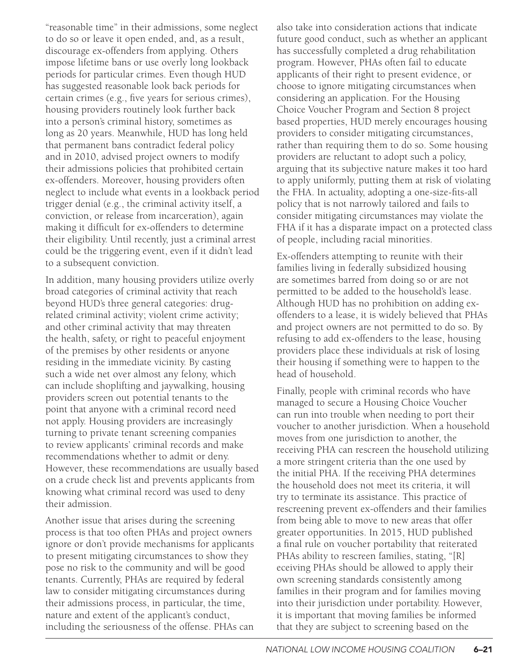"reasonable time" in their admissions, some neglect to do so or leave it open ended, and, as a result, discourage ex-offenders from applying. Others impose lifetime bans or use overly long lookback periods for particular crimes. Even though HUD has suggested reasonable look back periods for certain crimes (e.g., five years for serious crimes), housing providers routinely look further back into a person's criminal history, sometimes as long as 20 years. Meanwhile, HUD has long held that permanent bans contradict federal policy and in 2010, advised project owners to modify their admissions policies that prohibited certain ex-offenders. Moreover, housing providers often neglect to include what events in a lookback period trigger denial (e.g., the criminal activity itself, a conviction, or release from incarceration), again making it difficult for ex-offenders to determine their eligibility. Until recently, just a criminal arrest could be the triggering event, even if it didn't lead to a subsequent conviction.

In addition, many housing providers utilize overly broad categories of criminal activity that reach beyond HUD's three general categories: drugrelated criminal activity; violent crime activity; and other criminal activity that may threaten the health, safety, or right to peaceful enjoyment of the premises by other residents or anyone residing in the immediate vicinity. By casting such a wide net over almost any felony, which can include shoplifting and jaywalking, housing providers screen out potential tenants to the point that anyone with a criminal record need not apply. Housing providers are increasingly turning to private tenant screening companies to review applicants' criminal records and make recommendations whether to admit or deny. However, these recommendations are usually based on a crude check list and prevents applicants from knowing what criminal record was used to deny their admission.

Another issue that arises during the screening process is that too often PHAs and project owners ignore or don't provide mechanisms for applicants to present mitigating circumstances to show they pose no risk to the community and will be good tenants. Currently, PHAs are required by federal law to consider mitigating circumstances during their admissions process, in particular, the time, nature and extent of the applicant's conduct, including the seriousness of the offense. PHAs can also take into consideration actions that indicate future good conduct, such as whether an applicant has successfully completed a drug rehabilitation program. However, PHAs often fail to educate applicants of their right to present evidence, or choose to ignore mitigating circumstances when considering an application. For the Housing Choice Voucher Program and Section 8 project based properties, HUD merely encourages housing providers to consider mitigating circumstances, rather than requiring them to do so. Some housing providers are reluctant to adopt such a policy, arguing that its subjective nature makes it too hard to apply uniformly, putting them at risk of violating the FHA. In actuality, adopting a one-size-fits-all policy that is not narrowly tailored and fails to consider mitigating circumstances may violate the FHA if it has a disparate impact on a protected class of people, including racial minorities.

Ex-offenders attempting to reunite with their families living in federally subsidized housing are sometimes barred from doing so or are not permitted to be added to the household's lease. Although HUD has no prohibition on adding exoffenders to a lease, it is widely believed that PHAs and project owners are not permitted to do so. By refusing to add ex-offenders to the lease, housing providers place these individuals at risk of losing their housing if something were to happen to the head of household.

Finally, people with criminal records who have managed to secure a Housing Choice Voucher can run into trouble when needing to port their voucher to another jurisdiction. When a household moves from one jurisdiction to another, the receiving PHA can rescreen the household utilizing a more stringent criteria than the one used by the initial PHA. If the receiving PHA determines the household does not meet its criteria, it will try to terminate its assistance. This practice of rescreening prevent ex-offenders and their families from being able to move to new areas that offer greater opportunities. In 2015, HUD published a final rule on voucher portability that reiterated PHAs ability to rescreen families, stating, "[R] eceiving PHAs should be allowed to apply their own screening standards consistently among families in their program and for families moving into their jurisdiction under portability. However, it is important that moving families be informed that they are subject to screening based on the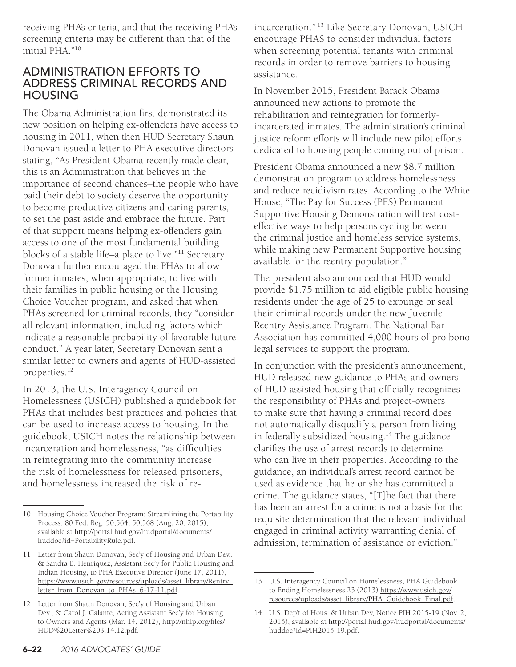receiving PHA's criteria, and that the receiving PHA's screening criteria may be different than that of the initial PHA."10

#### ADMINISTRATION EFFORTS TO ADDRESS CRIMINAL RECORDS AND HOUSING

The Obama Administration first demonstrated its new position on helping ex-offenders have access to housing in 2011, when then HUD Secretary Shaun Donovan issued a letter to PHA executive directors stating, "As President Obama recently made clear, this is an Administration that believes in the importance of second chances–the people who have paid their debt to society deserve the opportunity to become productive citizens and caring parents, to set the past aside and embrace the future. Part of that support means helping ex-offenders gain access to one of the most fundamental building blocks of a stable life–a place to live."11 Secretary Donovan further encouraged the PHAs to allow former inmates, when appropriate, to live with their families in public housing or the Housing Choice Voucher program, and asked that when PHAs screened for criminal records, they "consider all relevant information, including factors which indicate a reasonable probability of favorable future conduct." A year later, Secretary Donovan sent a similar letter to owners and agents of HUD-assisted properties.<sup>12</sup>

In 2013, the U.S. Interagency Council on Homelessness (USICH) published a guidebook for PHAs that includes best practices and policies that can be used to increase access to housing. In the guidebook, USICH notes the relationship between incarceration and homelessness, "as difficulties in reintegrating into the community increase the risk of homelessness for released prisoners, and homelessness increased the risk of reincarceration." 13 Like Secretary Donovan, USICH encourage PHAS to consider individual factors when screening potential tenants with criminal records in order to remove barriers to housing assistance.

In November 2015, President Barack Obama announced new actions to promote the rehabilitation and reintegration for formerlyincarcerated inmates. The administration's criminal justice reform efforts will include new pilot efforts dedicated to housing people coming out of prison.

President Obama announced a new \$8.7 million demonstration program to address homelessness and reduce recidivism rates. According to the White House, "The Pay for Success (PFS) Permanent Supportive Housing Demonstration will test costeffective ways to help persons cycling between the criminal justice and homeless service systems, while making new Permanent Supportive housing available for the reentry population."

The president also announced that HUD would provide \$1.75 million to aid eligible public housing residents under the age of 25 to expunge or seal their criminal records under the new Juvenile Reentry Assistance Program. The National Bar Association has committed 4,000 hours of pro bono legal services to support the program.

In conjunction with the president's announcement, HUD released new guidance to PHAs and owners of HUD-assisted housing that officially recognizes the responsibility of PHAs and project-owners to make sure that having a criminal record does not automatically disqualify a person from living in federally subsidized housing.<sup>14</sup> The guidance clarifies the use of arrest records to determine who can live in their properties. According to the guidance, an individual's arrest record cannot be used as evidence that he or she has committed a crime. The guidance states, "[T]he fact that there has been an arrest for a crime is not a basis for the requisite determination that the relevant individual engaged in criminal activity warranting denial of admission, termination of assistance or eviction."

<sup>10</sup> Housing Choice Voucher Program: Streamlining the Portability Process, 80 Fed. Reg. 50,564, 50,568 (Aug. 20, 2015), available at http://portal.hud.gov/hudportal/documents/ huddoc?id=PortabilityRule.pdf.

<sup>11</sup> Letter from Shaun Donovan, Sec'y of Housing and Urban Dev., & Sandra B. Henriquez, Assistant Sec'y for Public Housing and Indian Housing, to PHA Executive Director (June 17, 2011), [https://www.usich.gov/resources/uploads/asset\\_library/Rentry\\_](https://www.usich.gov/resources/uploads/asset_library/Rentry_letter_from_Donovan_to_PHAs_6-17-11.pdf) [letter\\_from\\_Donovan\\_to\\_PHAs\\_6-17-11.pdf.](https://www.usich.gov/resources/uploads/asset_library/Rentry_letter_from_Donovan_to_PHAs_6-17-11.pdf)

<sup>12</sup> Letter from Shaun Donovan, Sec'y of Housing and Urban Dev., & Carol J. Galante, Acting Assistant Sec'y for Housing to Owners and Agents (Mar. 14, 2012), [http://nhlp.org/files/](http://nhlp.org/files/HUD%20Letter%203.14.12.pdf) [HUD%20Letter%203.14.12.pdf.](http://nhlp.org/files/HUD%20Letter%203.14.12.pdf)

<sup>13</sup> U.S. Interagency Council on Homelessness, PHA Guidebook to Ending Homelessness 23 (2013) [https://www.usich.gov/](https://www.usich.gov/resources/uploads/asset_library/PHA_Guidebook_Final.pdf) [resources/uploads/asset\\_library/PHA\\_Guidebook\\_Final.pdf.](https://www.usich.gov/resources/uploads/asset_library/PHA_Guidebook_Final.pdf)

<sup>14</sup> U.S. Dep't of Hous. & Urban Dev, Notice PIH 2015-19 (Nov. 2, 2015), available at [http://portal.hud.gov/hudportal/documents/](http://portal.hud.gov/hudportal/documents/huddoc?id=PIH2015-19.pdf) [huddoc?id=PIH2015-19.pdf](http://portal.hud.gov/hudportal/documents/huddoc?id=PIH2015-19.pdf).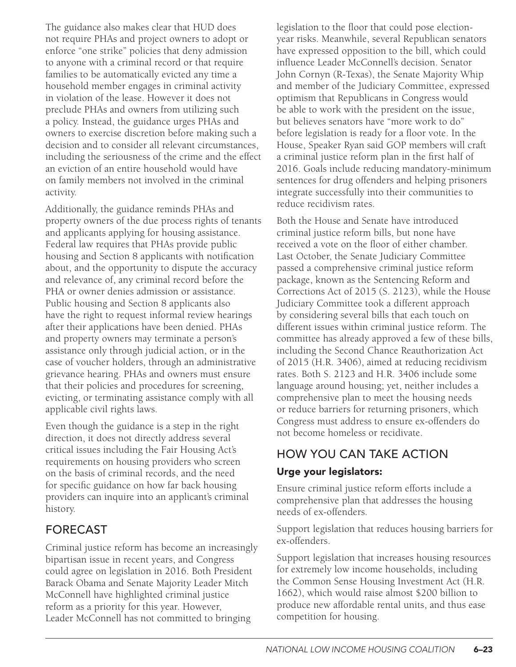The guidance also makes clear that HUD does not require PHAs and project owners to adopt or enforce "one strike" policies that deny admission to anyone with a criminal record or that require families to be automatically evicted any time a household member engages in criminal activity in violation of the lease. However it does not preclude PHAs and owners from utilizing such a policy. Instead, the guidance urges PHAs and owners to exercise discretion before making such a decision and to consider all relevant circumstances, including the seriousness of the crime and the effect an eviction of an entire household would have on family members not involved in the criminal activity.

Additionally, the guidance reminds PHAs and property owners of the due process rights of tenants and applicants applying for housing assistance. Federal law requires that PHAs provide public housing and Section 8 applicants with notification about, and the opportunity to dispute the accuracy and relevance of, any criminal record before the PHA or owner denies admission or assistance. Public housing and Section 8 applicants also have the right to request informal review hearings after their applications have been denied. PHAs and property owners may terminate a person's assistance only through judicial action, or in the case of voucher holders, through an administrative grievance hearing. PHAs and owners must ensure that their policies and procedures for screening, evicting, or terminating assistance comply with all applicable civil rights laws.

Even though the guidance is a step in the right direction, it does not directly address several critical issues including the Fair Housing Act's requirements on housing providers who screen on the basis of criminal records, and the need for specific guidance on how far back housing providers can inquire into an applicant's criminal history.

### FORECAST

Criminal justice reform has become an increasingly bipartisan issue in recent years, and Congress could agree on legislation in 2016. Both President Barack Obama and Senate Majority Leader Mitch McConnell have highlighted criminal justice reform as a priority for this year. However, Leader McConnell has not committed to bringing

legislation to the floor that could pose electionyear risks. Meanwhile, several Republican senators have expressed opposition to the bill, which could influence Leader McConnell's decision. Senator John Cornyn (R-Texas), the Senate Majority Whip and member of the Judiciary Committee, expressed optimism that Republicans in Congress would be able to work with the president on the issue, but believes senators have "more work to do" before legislation is ready for a floor vote. In the House, Speaker Ryan said GOP members will craft a criminal justice reform plan in the first half of 2016. Goals include reducing mandatory-minimum sentences for drug offenders and helping prisoners integrate successfully into their communities to reduce recidivism rates.

Both the House and Senate have introduced criminal justice reform bills, but none have received a vote on the floor of either chamber. Last October, the Senate Judiciary Committee passed a comprehensive criminal justice reform package, known as the Sentencing Reform and Corrections Act of 2015 (S. 2123), while the House Judiciary Committee took a different approach by considering several bills that each touch on different issues within criminal justice reform. The committee has already approved a few of these bills, including the Second Chance Reauthorization Act of 2015 (H.R. 3406), aimed at reducing recidivism rates. Both S. 2123 and H.R. 3406 include some language around housing; yet, neither includes a comprehensive plan to meet the housing needs or reduce barriers for returning prisoners, which Congress must address to ensure ex-offenders do not become homeless or recidivate.

## HOW YOU CAN TAKE ACTION

#### Urge your legislators:

Ensure criminal justice reform efforts include a comprehensive plan that addresses the housing needs of ex-offenders.

Support legislation that reduces housing barriers for ex-offenders.

Support legislation that increases housing resources for extremely low income households, including the Common Sense Housing Investment Act (H.R. 1662), which would raise almost \$200 billion to produce new affordable rental units, and thus ease competition for housing.